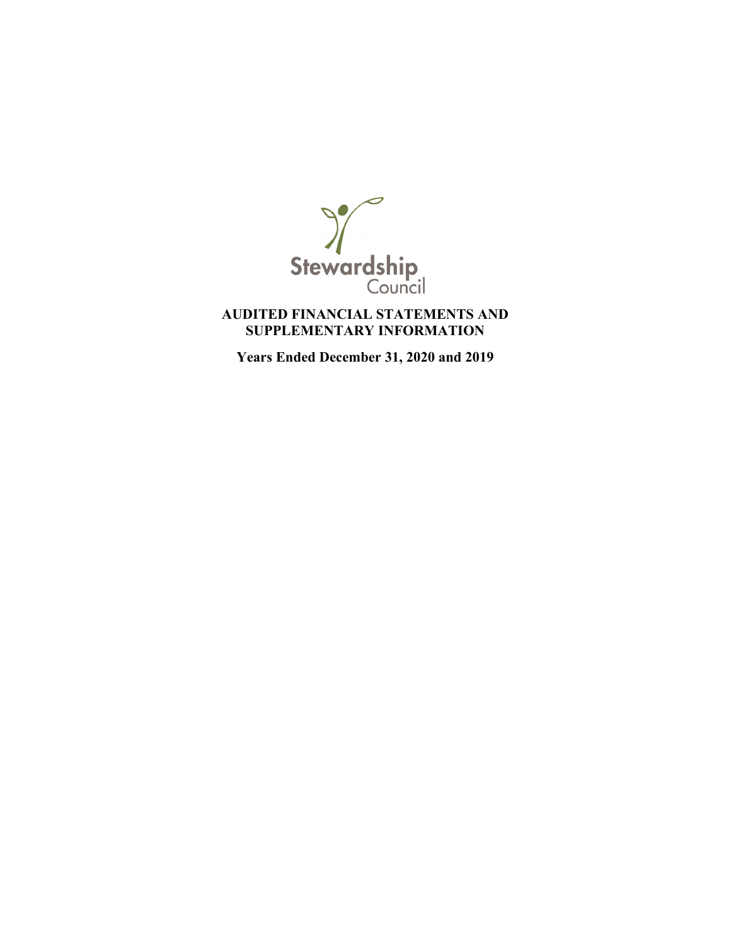

# **AUDITED FINANCIAL STATEMENTS AND SUPPLEMENTARY INFORMATION**

**Years Ended December 31, 2020 and 2019**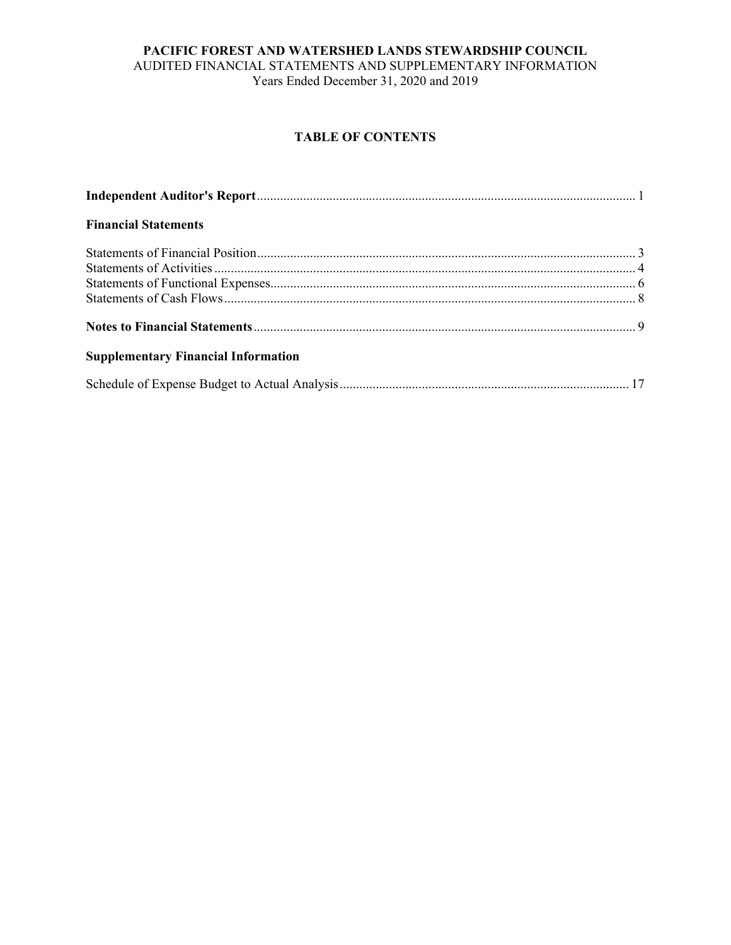### **PACIFIC FOREST AND WATERSHED LANDS STEWARDSHIP COUNCIL**  AUDITED FINANCIAL STATEMENTS AND SUPPLEMENTARY INFORMATION Years Ended December 31, 2020 and 2019

## **TABLE OF CONTENTS**

| <b>Financial Statements</b>                |  |
|--------------------------------------------|--|
|                                            |  |
|                                            |  |
|                                            |  |
|                                            |  |
|                                            |  |
| <b>Supplementary Financial Information</b> |  |
|                                            |  |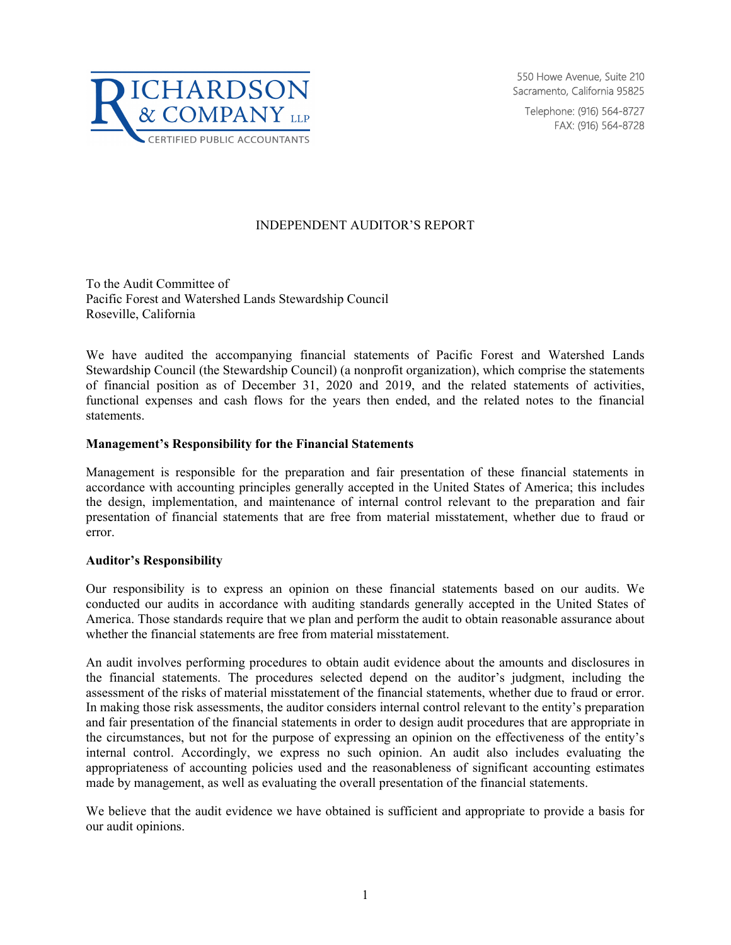

550 Howe Avenue, Suite 210 Sacramento, California 95825

Telephone: (916) 564-8727 FAX: (916) 564-8728

## INDEPENDENT AUDITOR'S REPORT

To the Audit Committee of Pacific Forest and Watershed Lands Stewardship Council Roseville, California

We have audited the accompanying financial statements of Pacific Forest and Watershed Lands Stewardship Council (the Stewardship Council) (a nonprofit organization), which comprise the statements of financial position as of December 31, 2020 and 2019, and the related statements of activities, functional expenses and cash flows for the years then ended, and the related notes to the financial statements.

#### **Management's Responsibility for the Financial Statements**

Management is responsible for the preparation and fair presentation of these financial statements in accordance with accounting principles generally accepted in the United States of America; this includes the design, implementation, and maintenance of internal control relevant to the preparation and fair presentation of financial statements that are free from material misstatement, whether due to fraud or error.

#### **Auditor's Responsibility**

Our responsibility is to express an opinion on these financial statements based on our audits. We conducted our audits in accordance with auditing standards generally accepted in the United States of America. Those standards require that we plan and perform the audit to obtain reasonable assurance about whether the financial statements are free from material misstatement.

An audit involves performing procedures to obtain audit evidence about the amounts and disclosures in the financial statements. The procedures selected depend on the auditor's judgment, including the assessment of the risks of material misstatement of the financial statements, whether due to fraud or error. In making those risk assessments, the auditor considers internal control relevant to the entity's preparation and fair presentation of the financial statements in order to design audit procedures that are appropriate in the circumstances, but not for the purpose of expressing an opinion on the effectiveness of the entity's internal control. Accordingly, we express no such opinion. An audit also includes evaluating the appropriateness of accounting policies used and the reasonableness of significant accounting estimates made by management, as well as evaluating the overall presentation of the financial statements.

We believe that the audit evidence we have obtained is sufficient and appropriate to provide a basis for our audit opinions.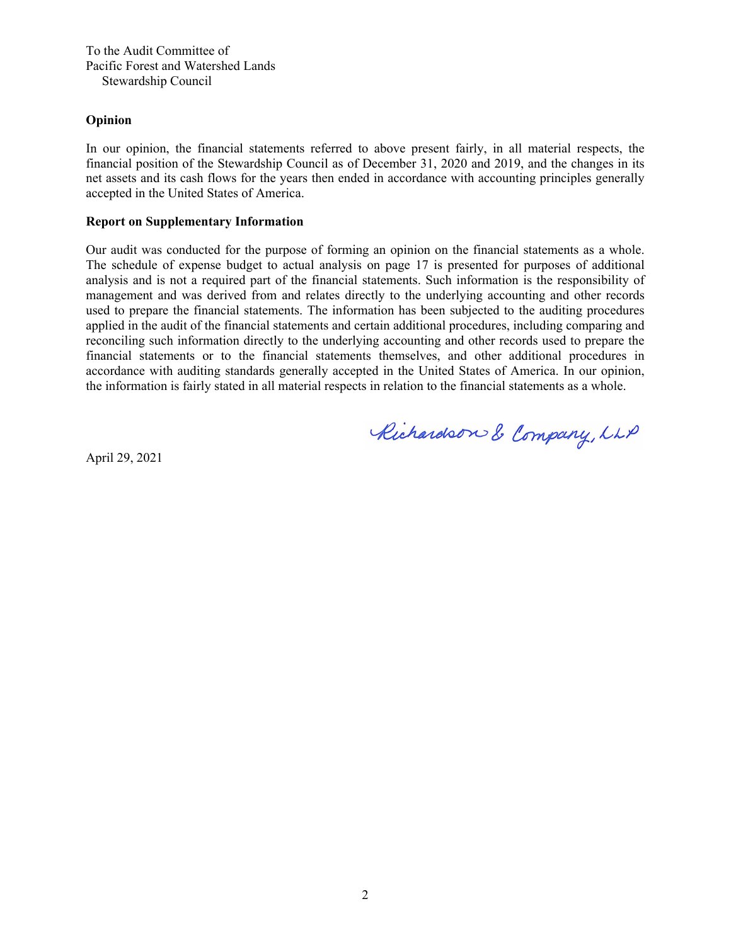To the Audit Committee of Pacific Forest and Watershed Lands Stewardship Council

#### **Opinion**

In our opinion, the financial statements referred to above present fairly, in all material respects, the financial position of the Stewardship Council as of December 31, 2020 and 2019, and the changes in its net assets and its cash flows for the years then ended in accordance with accounting principles generally accepted in the United States of America.

#### **Report on Supplementary Information**

Our audit was conducted for the purpose of forming an opinion on the financial statements as a whole. The schedule of expense budget to actual analysis on page 17 is presented for purposes of additional analysis and is not a required part of the financial statements. Such information is the responsibility of management and was derived from and relates directly to the underlying accounting and other records used to prepare the financial statements. The information has been subjected to the auditing procedures applied in the audit of the financial statements and certain additional procedures, including comparing and reconciling such information directly to the underlying accounting and other records used to prepare the financial statements or to the financial statements themselves, and other additional procedures in accordance with auditing standards generally accepted in the United States of America. In our opinion, the information is fairly stated in all material respects in relation to the financial statements as a whole.

Richardson & Company, LLP

April 29, 2021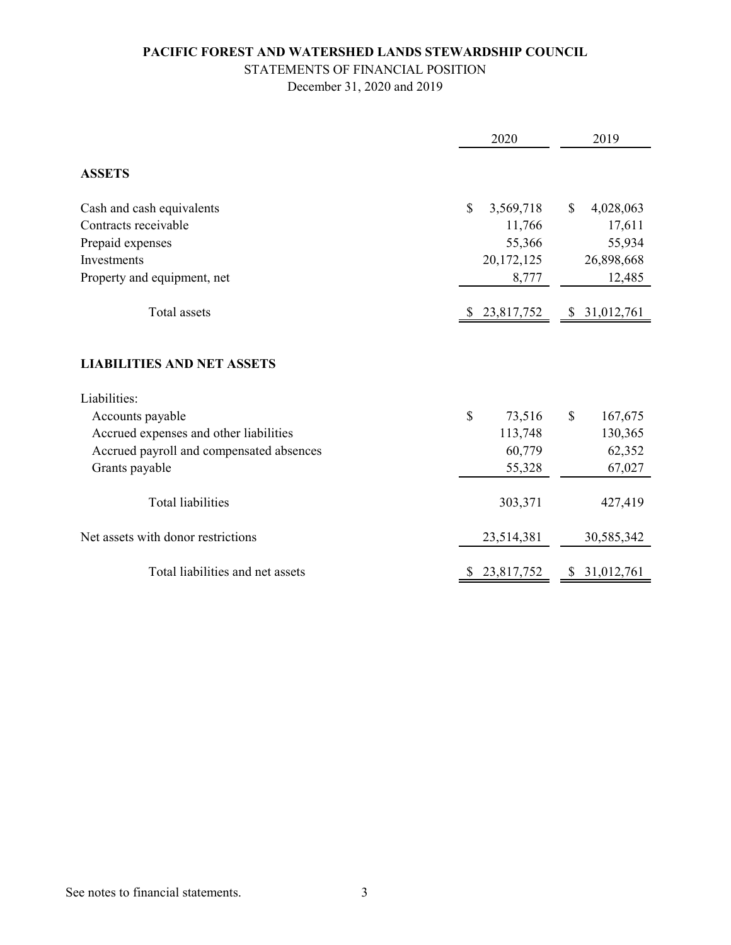# STATEMENTS OF FINANCIAL POSITION

December 31, 2020 and 2019

|                                                   | 2020                      | 2019                     |
|---------------------------------------------------|---------------------------|--------------------------|
| <b>ASSETS</b>                                     |                           |                          |
| Cash and cash equivalents                         | $\mathbb{S}$<br>3,569,718 | $\mathbf S$<br>4,028,063 |
| Contracts receivable                              | 11,766                    | 17,611                   |
| Prepaid expenses                                  | 55,366                    | 55,934                   |
| Investments                                       | 20,172,125                | 26,898,668               |
| Property and equipment, net                       | 8,777                     | 12,485                   |
| Total assets                                      | 23,817,752                | \$31,012,761             |
| <b>LIABILITIES AND NET ASSETS</b><br>Liabilities: |                           |                          |
| Accounts payable                                  | $\mathbb{S}$<br>73,516    | $\mathbb{S}$<br>167,675  |
| Accrued expenses and other liabilities            | 113,748                   | 130,365                  |
| Accrued payroll and compensated absences          | 60,779                    | 62,352                   |
| Grants payable                                    | 55,328                    | 67,027                   |
| <b>Total liabilities</b>                          | 303,371                   | 427,419                  |
| Net assets with donor restrictions                | 23,514,381                | 30,585,342               |
| Total liabilities and net assets                  | 23,817,752                | 31,012,761<br>Ÿ          |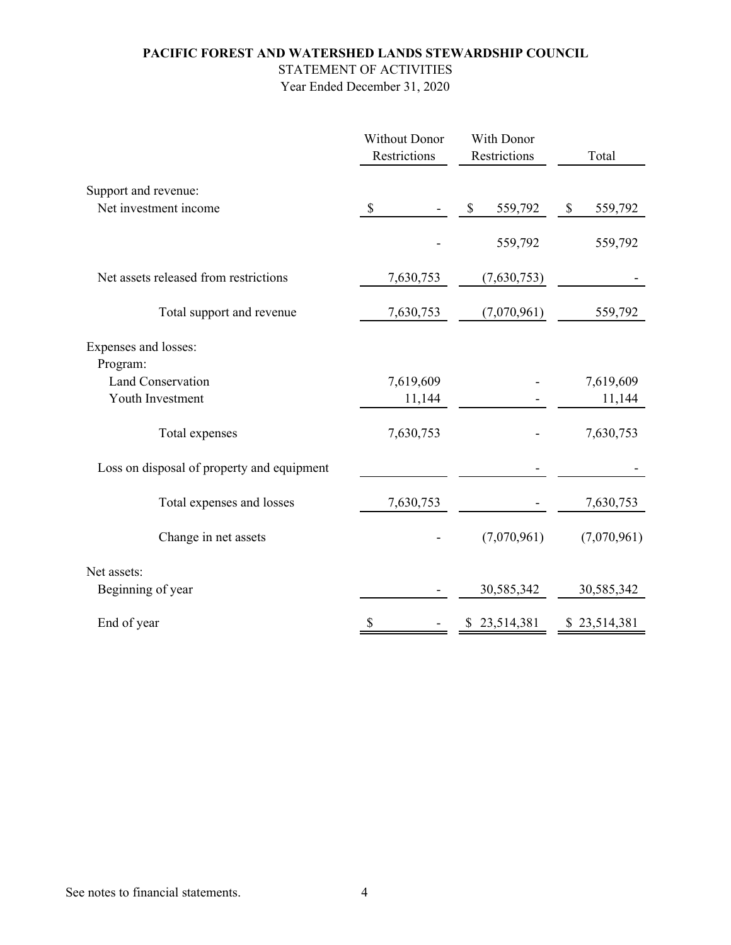# STATEMENT OF ACTIVITIES

| <b>Without Donor</b><br>Restrictions<br>Restrictions |               | With Donor    | Total         |
|------------------------------------------------------|---------------|---------------|---------------|
| Support and revenue:                                 |               |               |               |
| Net investment income                                | $\mathcal{S}$ | \$<br>559,792 | \$<br>559,792 |
|                                                      |               | 559,792       | 559,792       |
| Net assets released from restrictions                | 7,630,753     | (7,630,753)   |               |
| Total support and revenue                            | 7,630,753     | (7,070,961)   | 559,792       |
| Expenses and losses:<br>Program:                     |               |               |               |
| Land Conservation                                    | 7,619,609     |               | 7,619,609     |
| Youth Investment                                     | 11,144        |               | 11,144        |
| Total expenses                                       | 7,630,753     |               | 7,630,753     |
| Loss on disposal of property and equipment           |               |               |               |
| Total expenses and losses                            | 7,630,753     |               | 7,630,753     |
| Change in net assets                                 |               | (7,070,961)   | (7,070,961)   |
| Net assets:                                          |               |               |               |
| Beginning of year                                    |               | 30,585,342    | 30,585,342    |
| End of year                                          | \$            | \$23,514,381  | \$23,514,381  |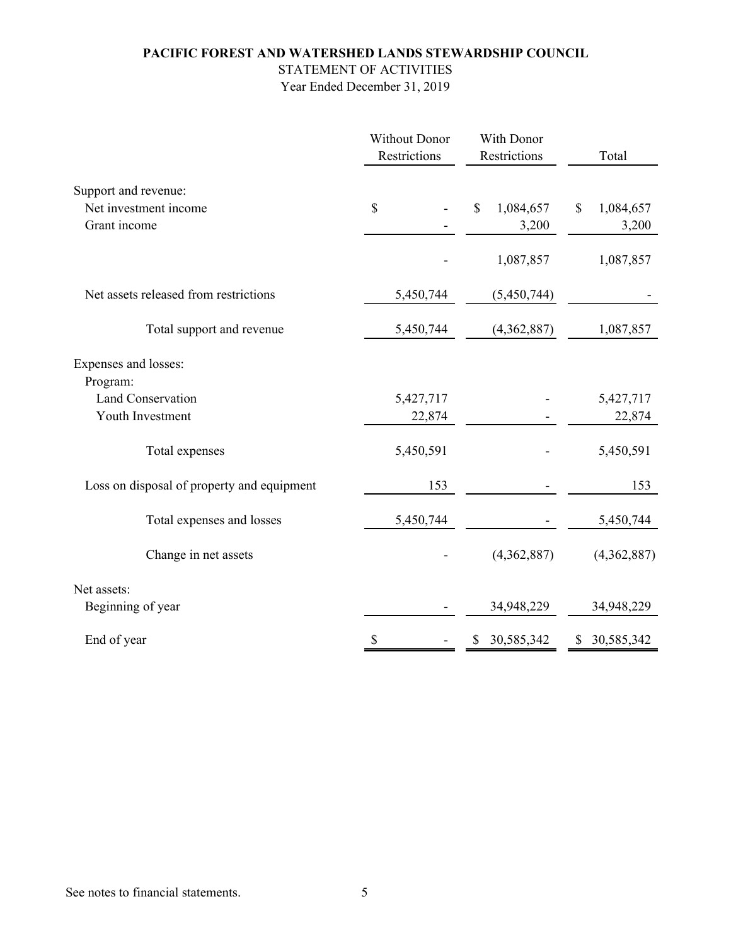# STATEMENT OF ACTIVITIES

| <b>Without Donor</b><br>Restrictions       |                           | With Donor<br>Restrictions | Total           |  |
|--------------------------------------------|---------------------------|----------------------------|-----------------|--|
| Support and revenue:                       |                           |                            |                 |  |
| Net investment income                      | $\boldsymbol{\mathsf{S}}$ | \$<br>1,084,657            | \$<br>1,084,657 |  |
| Grant income                               |                           | 3,200                      | 3,200           |  |
|                                            |                           | 1,087,857                  | 1,087,857       |  |
| Net assets released from restrictions      | 5,450,744                 | (5,450,744)                |                 |  |
| Total support and revenue                  | 5,450,744                 | (4,362,887)                | 1,087,857       |  |
| Expenses and losses:                       |                           |                            |                 |  |
| Program:                                   |                           |                            |                 |  |
| <b>Land Conservation</b>                   | 5,427,717                 |                            | 5,427,717       |  |
| Youth Investment                           | 22,874                    |                            | 22,874          |  |
| Total expenses                             | 5,450,591                 |                            | 5,450,591       |  |
| Loss on disposal of property and equipment | 153                       |                            | 153             |  |
| Total expenses and losses                  | 5,450,744                 |                            | 5,450,744       |  |
| Change in net assets                       |                           | (4,362,887)                | (4,362,887)     |  |
| Net assets:                                |                           |                            |                 |  |
| Beginning of year                          |                           | 34,948,229                 | 34,948,229      |  |
| End of year                                | \$                        | 30,585,342<br>S.           | 30,585,342<br>S |  |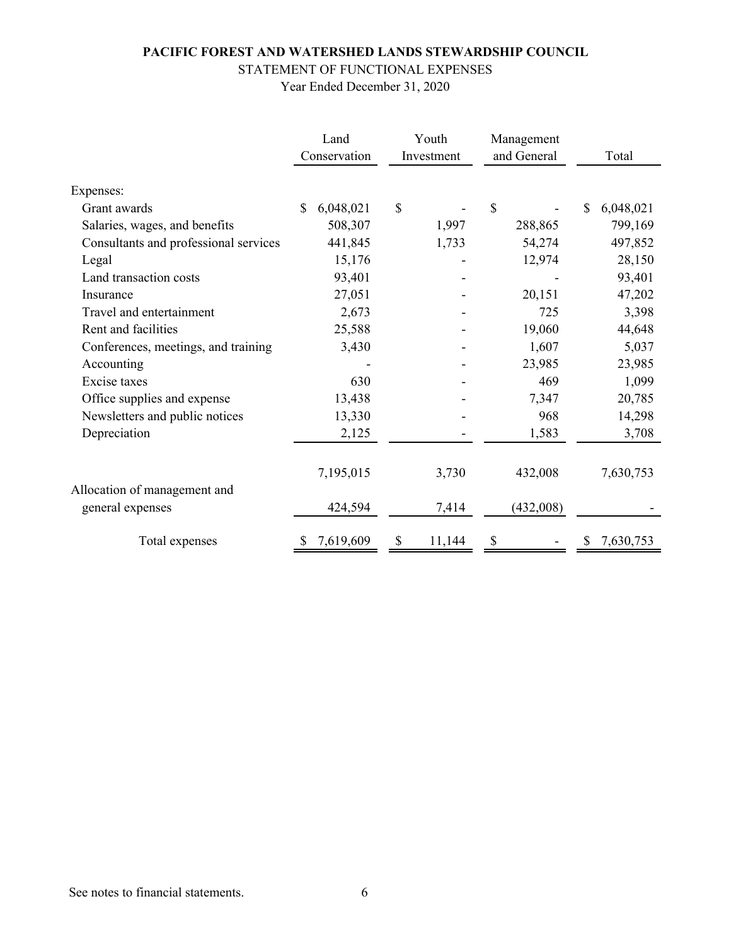# STATEMENT OF FUNCTIONAL EXPENSES

|                                       | Land                     | Youth        | Management  |                 |
|---------------------------------------|--------------------------|--------------|-------------|-----------------|
|                                       | Conservation             | Investment   | and General | Total           |
| Expenses:                             |                          |              |             |                 |
| Grant awards                          | $\mathbf S$<br>6,048,021 | \$           | \$          | 6,048,021<br>\$ |
| Salaries, wages, and benefits         | 508,307                  | 1,997        | 288,865     | 799,169         |
| Consultants and professional services | 441,845                  | 1,733        | 54,274      | 497,852         |
| Legal                                 | 15,176                   |              | 12,974      | 28,150          |
| Land transaction costs                | 93,401                   |              |             | 93,401          |
| Insurance                             | 27,051                   |              | 20,151      | 47,202          |
| Travel and entertainment              | 2,673                    |              | 725         | 3,398           |
| Rent and facilities                   | 25,588                   |              | 19,060      | 44,648          |
| Conferences, meetings, and training   | 3,430                    |              | 1,607       | 5,037           |
| Accounting                            |                          |              | 23,985      | 23,985          |
| Excise taxes                          | 630                      |              | 469         | 1,099           |
| Office supplies and expense           | 13,438                   |              | 7,347       | 20,785          |
| Newsletters and public notices        | 13,330                   |              | 968         | 14,298          |
| Depreciation                          | 2,125                    |              | 1,583       | 3,708           |
|                                       | 7,195,015                | 3,730        | 432,008     | 7,630,753       |
| Allocation of management and          |                          |              |             |                 |
| general expenses                      | 424,594                  | 7,414        | (432,008)   |                 |
| Total expenses                        | 7,619,609<br>S           | \$<br>11,144 | \$          | 7,630,753       |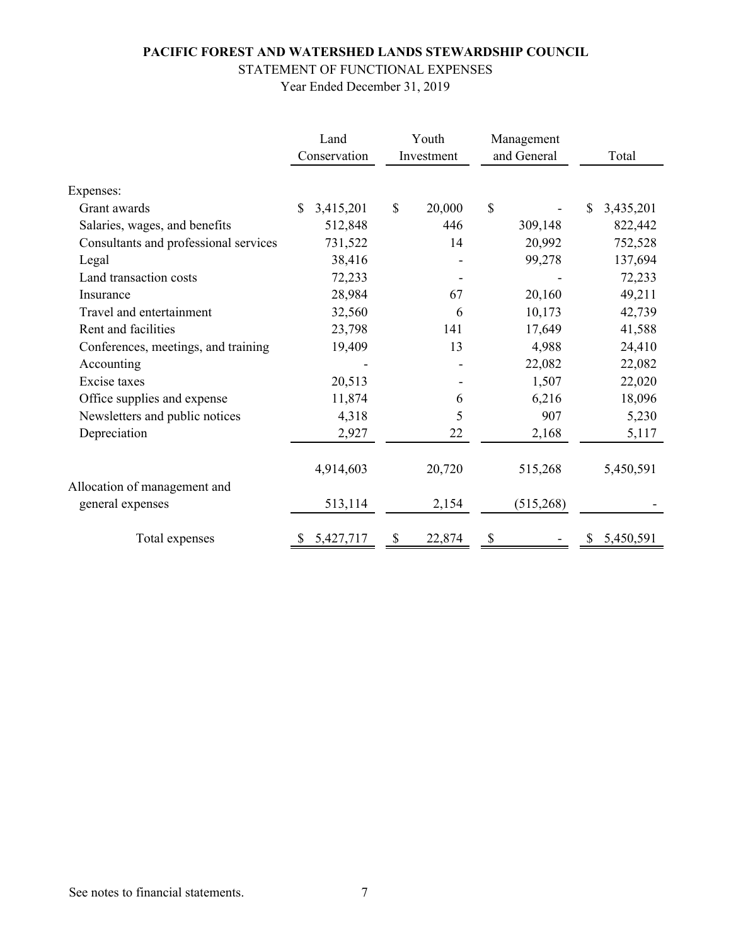# STATEMENT OF FUNCTIONAL EXPENSES

|                                       | Land                      | Youth                  | Management  |                 |
|---------------------------------------|---------------------------|------------------------|-------------|-----------------|
|                                       | Conservation              | Investment             | and General | Total           |
| Expenses:                             |                           |                        |             |                 |
| Grant awards                          | $\mathbb{S}$<br>3,415,201 | $\mathbb{S}$<br>20,000 | \$          | \$<br>3,435,201 |
| Salaries, wages, and benefits         | 512,848                   | 446                    | 309,148     | 822,442         |
| Consultants and professional services | 731,522                   | 14                     | 20,992      | 752,528         |
| Legal                                 | 38,416                    |                        | 99,278      | 137,694         |
| Land transaction costs                | 72,233                    |                        |             | 72,233          |
| Insurance                             | 28,984                    | 67                     | 20,160      | 49,211          |
| Travel and entertainment              | 32,560                    | 6                      | 10,173      | 42,739          |
| Rent and facilities                   | 23,798                    | 141                    | 17,649      | 41,588          |
| Conferences, meetings, and training   | 19,409                    | 13                     | 4,988       | 24,410          |
| Accounting                            |                           |                        | 22,082      | 22,082          |
| Excise taxes                          | 20,513                    |                        | 1,507       | 22,020          |
| Office supplies and expense           | 11,874                    | 6                      | 6,216       | 18,096          |
| Newsletters and public notices        | 4,318                     | 5                      | 907         | 5,230           |
| Depreciation                          | 2,927                     | 22                     | 2,168       | 5,117           |
|                                       | 4,914,603                 | 20,720                 | 515,268     | 5,450,591       |
| Allocation of management and          |                           |                        |             |                 |
| general expenses                      | 513,114                   | 2,154                  | (515,268)   |                 |
| Total expenses                        | 5,427,717                 | 22,874                 |             | 5,450,591       |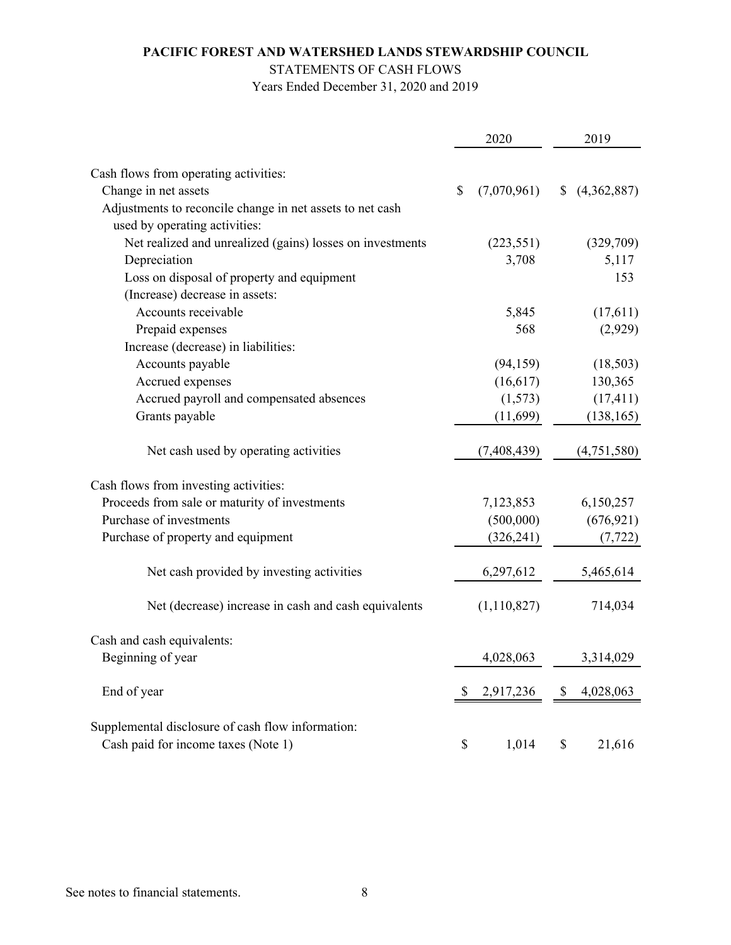## STATEMENTS OF CASH FLOWS

Years Ended December 31, 2020 and 2019

|                                                           |                           | 2020        |    | 2019        |
|-----------------------------------------------------------|---------------------------|-------------|----|-------------|
| Cash flows from operating activities:                     |                           |             |    |             |
| Change in net assets                                      | \$                        | (7,070,961) | S. | (4,362,887) |
| Adjustments to reconcile change in net assets to net cash |                           |             |    |             |
| used by operating activities:                             |                           |             |    |             |
| Net realized and unrealized (gains) losses on investments |                           | (223, 551)  |    | (329,709)   |
| Depreciation                                              |                           | 3,708       |    | 5,117       |
| Loss on disposal of property and equipment                |                           |             |    | 153         |
| (Increase) decrease in assets:                            |                           |             |    |             |
| Accounts receivable                                       |                           | 5,845       |    | (17,611)    |
| Prepaid expenses                                          |                           | 568         |    | (2,929)     |
| Increase (decrease) in liabilities:                       |                           |             |    |             |
| Accounts payable                                          |                           | (94, 159)   |    | (18, 503)   |
| Accrued expenses                                          |                           | (16,617)    |    | 130,365     |
| Accrued payroll and compensated absences                  |                           | (1,573)     |    | (17, 411)   |
| Grants payable                                            |                           | (11,699)    |    | (138, 165)  |
| Net cash used by operating activities                     |                           | (7,408,439) |    | (4,751,580) |
| Cash flows from investing activities:                     |                           |             |    |             |
| Proceeds from sale or maturity of investments             |                           | 7,123,853   |    | 6,150,257   |
| Purchase of investments                                   |                           | (500,000)   |    | (676, 921)  |
| Purchase of property and equipment                        |                           | (326, 241)  |    | (7, 722)    |
| Net cash provided by investing activities                 |                           | 6,297,612   |    | 5,465,614   |
| Net (decrease) increase in cash and cash equivalents      |                           | (1,110,827) |    | 714,034     |
| Cash and cash equivalents:                                |                           |             |    |             |
| Beginning of year                                         |                           | 4,028,063   |    | 3,314,029   |
| End of year                                               | $\boldsymbol{\mathsf{S}}$ | 2,917,236   | \$ | 4,028,063   |
| Supplemental disclosure of cash flow information:         |                           |             |    |             |
| Cash paid for income taxes (Note 1)                       | \$                        | 1,014       | \$ | 21,616      |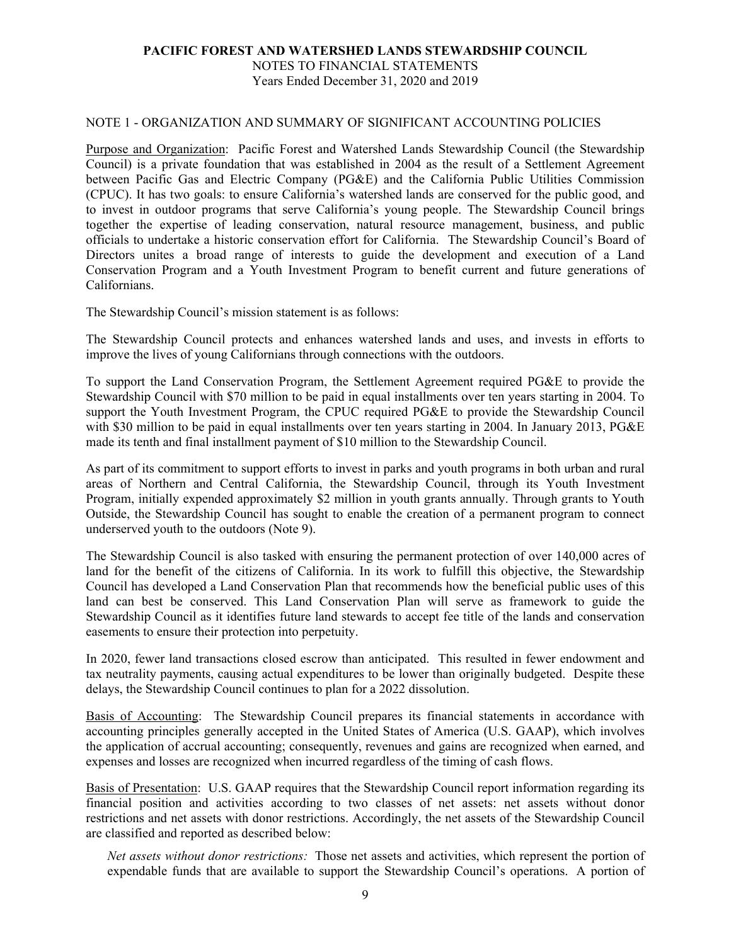NOTES TO FINANCIAL STATEMENTS Years Ended December 31, 2020 and 2019

#### NOTE 1 - ORGANIZATION AND SUMMARY OF SIGNIFICANT ACCOUNTING POLICIES

Purpose and Organization: Pacific Forest and Watershed Lands Stewardship Council (the Stewardship Council) is a private foundation that was established in 2004 as the result of a Settlement Agreement between Pacific Gas and Electric Company (PG&E) and the California Public Utilities Commission (CPUC). It has two goals: to ensure California's watershed lands are conserved for the public good, and to invest in outdoor programs that serve California's young people. The Stewardship Council brings together the expertise of leading conservation, natural resource management, business, and public officials to undertake a historic conservation effort for California. The Stewardship Council's Board of Directors unites a broad range of interests to guide the development and execution of a Land Conservation Program and a Youth Investment Program to benefit current and future generations of Californians.

The Stewardship Council's mission statement is as follows:

The Stewardship Council protects and enhances watershed lands and uses, and invests in efforts to improve the lives of young Californians through connections with the outdoors.

To support the Land Conservation Program, the Settlement Agreement required PG&E to provide the Stewardship Council with \$70 million to be paid in equal installments over ten years starting in 2004. To support the Youth Investment Program, the CPUC required PG&E to provide the Stewardship Council with \$30 million to be paid in equal installments over ten years starting in 2004. In January 2013, PG&E made its tenth and final installment payment of \$10 million to the Stewardship Council.

As part of its commitment to support efforts to invest in parks and youth programs in both urban and rural areas of Northern and Central California, the Stewardship Council, through its Youth Investment Program, initially expended approximately \$2 million in youth grants annually. Through grants to Youth Outside, the Stewardship Council has sought to enable the creation of a permanent program to connect underserved youth to the outdoors (Note 9).

The Stewardship Council is also tasked with ensuring the permanent protection of over 140,000 acres of land for the benefit of the citizens of California. In its work to fulfill this objective, the Stewardship Council has developed a Land Conservation Plan that recommends how the beneficial public uses of this land can best be conserved. This Land Conservation Plan will serve as framework to guide the Stewardship Council as it identifies future land stewards to accept fee title of the lands and conservation easements to ensure their protection into perpetuity.

In 2020, fewer land transactions closed escrow than anticipated. This resulted in fewer endowment and tax neutrality payments, causing actual expenditures to be lower than originally budgeted. Despite these delays, the Stewardship Council continues to plan for a 2022 dissolution.

Basis of Accounting: The Stewardship Council prepares its financial statements in accordance with accounting principles generally accepted in the United States of America (U.S. GAAP), which involves the application of accrual accounting; consequently, revenues and gains are recognized when earned, and expenses and losses are recognized when incurred regardless of the timing of cash flows.

Basis of Presentation: U.S. GAAP requires that the Stewardship Council report information regarding its financial position and activities according to two classes of net assets: net assets without donor restrictions and net assets with donor restrictions. Accordingly, the net assets of the Stewardship Council are classified and reported as described below:

*Net assets without donor restrictions:* Those net assets and activities, which represent the portion of expendable funds that are available to support the Stewardship Council's operations. A portion of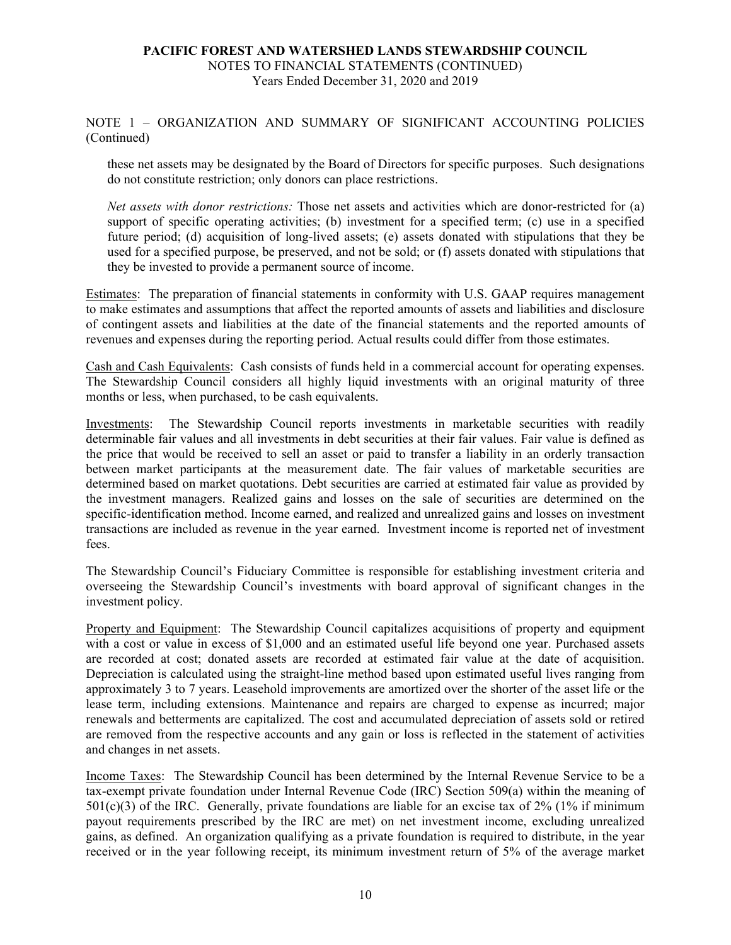#### NOTE 1 – ORGANIZATION AND SUMMARY OF SIGNIFICANT ACCOUNTING POLICIES (Continued)

these net assets may be designated by the Board of Directors for specific purposes. Such designations do not constitute restriction; only donors can place restrictions.

*Net assets with donor restrictions:* Those net assets and activities which are donor-restricted for (a) support of specific operating activities; (b) investment for a specified term; (c) use in a specified future period; (d) acquisition of long-lived assets; (e) assets donated with stipulations that they be used for a specified purpose, be preserved, and not be sold; or (f) assets donated with stipulations that they be invested to provide a permanent source of income.

Estimates: The preparation of financial statements in conformity with U.S. GAAP requires management to make estimates and assumptions that affect the reported amounts of assets and liabilities and disclosure of contingent assets and liabilities at the date of the financial statements and the reported amounts of revenues and expenses during the reporting period. Actual results could differ from those estimates.

Cash and Cash Equivalents: Cash consists of funds held in a commercial account for operating expenses. The Stewardship Council considers all highly liquid investments with an original maturity of three months or less, when purchased, to be cash equivalents.

Investments: The Stewardship Council reports investments in marketable securities with readily determinable fair values and all investments in debt securities at their fair values. Fair value is defined as the price that would be received to sell an asset or paid to transfer a liability in an orderly transaction between market participants at the measurement date. The fair values of marketable securities are determined based on market quotations. Debt securities are carried at estimated fair value as provided by the investment managers. Realized gains and losses on the sale of securities are determined on the specific-identification method. Income earned, and realized and unrealized gains and losses on investment transactions are included as revenue in the year earned. Investment income is reported net of investment fees.

The Stewardship Council's Fiduciary Committee is responsible for establishing investment criteria and overseeing the Stewardship Council's investments with board approval of significant changes in the investment policy.

Property and Equipment: The Stewardship Council capitalizes acquisitions of property and equipment with a cost or value in excess of \$1,000 and an estimated useful life beyond one year. Purchased assets are recorded at cost; donated assets are recorded at estimated fair value at the date of acquisition. Depreciation is calculated using the straight-line method based upon estimated useful lives ranging from approximately 3 to 7 years. Leasehold improvements are amortized over the shorter of the asset life or the lease term, including extensions. Maintenance and repairs are charged to expense as incurred; major renewals and betterments are capitalized. The cost and accumulated depreciation of assets sold or retired are removed from the respective accounts and any gain or loss is reflected in the statement of activities and changes in net assets.

Income Taxes: The Stewardship Council has been determined by the Internal Revenue Service to be a tax-exempt private foundation under Internal Revenue Code (IRC) Section 509(a) within the meaning of  $501(c)(3)$  of the IRC. Generally, private foundations are liable for an excise tax of 2% (1% if minimum payout requirements prescribed by the IRC are met) on net investment income, excluding unrealized gains, as defined. An organization qualifying as a private foundation is required to distribute, in the year received or in the year following receipt, its minimum investment return of 5% of the average market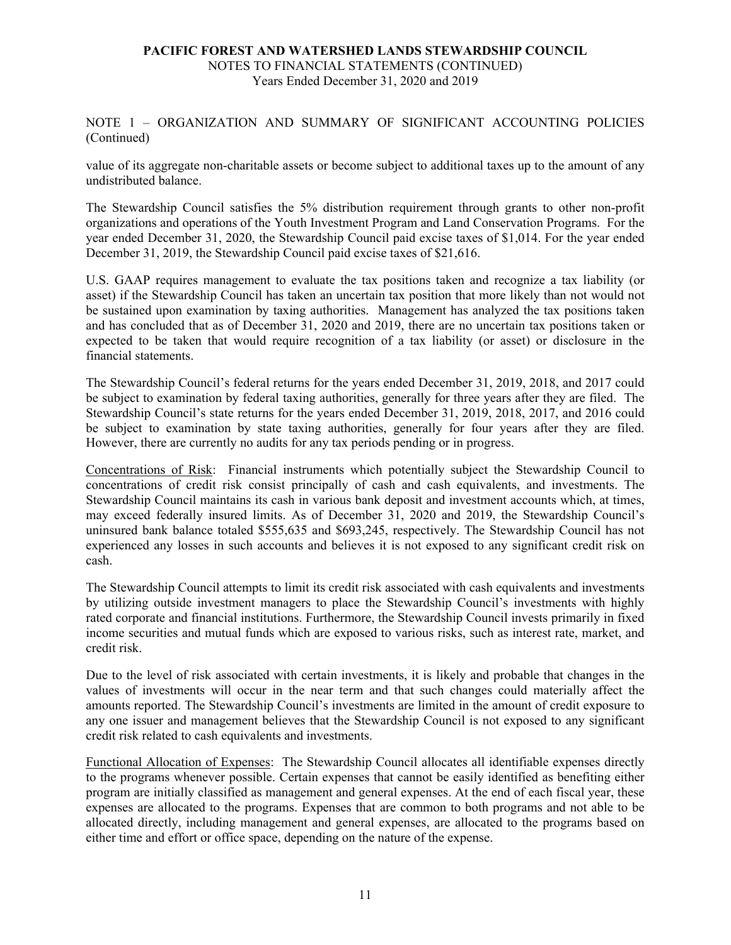NOTE 1 – ORGANIZATION AND SUMMARY OF SIGNIFICANT ACCOUNTING POLICIES (Continued)

value of its aggregate non-charitable assets or become subject to additional taxes up to the amount of any undistributed balance.

The Stewardship Council satisfies the 5% distribution requirement through grants to other non-profit organizations and operations of the Youth Investment Program and Land Conservation Programs. For the year ended December 31, 2020, the Stewardship Council paid excise taxes of \$1,014. For the year ended December 31, 2019, the Stewardship Council paid excise taxes of \$21,616.

U.S. GAAP requires management to evaluate the tax positions taken and recognize a tax liability (or asset) if the Stewardship Council has taken an uncertain tax position that more likely than not would not be sustained upon examination by taxing authorities. Management has analyzed the tax positions taken and has concluded that as of December 31, 2020 and 2019, there are no uncertain tax positions taken or expected to be taken that would require recognition of a tax liability (or asset) or disclosure in the financial statements.

The Stewardship Council's federal returns for the years ended December 31, 2019, 2018, and 2017 could be subject to examination by federal taxing authorities, generally for three years after they are filed. The Stewardship Council's state returns for the years ended December 31, 2019, 2018, 2017, and 2016 could be subject to examination by state taxing authorities, generally for four years after they are filed. However, there are currently no audits for any tax periods pending or in progress.

Concentrations of Risk: Financial instruments which potentially subject the Stewardship Council to concentrations of credit risk consist principally of cash and cash equivalents, and investments. The Stewardship Council maintains its cash in various bank deposit and investment accounts which, at times, may exceed federally insured limits. As of December 31, 2020 and 2019, the Stewardship Council's uninsured bank balance totaled \$555,635 and \$693,245, respectively. The Stewardship Council has not experienced any losses in such accounts and believes it is not exposed to any significant credit risk on cash.

The Stewardship Council attempts to limit its credit risk associated with cash equivalents and investments by utilizing outside investment managers to place the Stewardship Council's investments with highly rated corporate and financial institutions. Furthermore, the Stewardship Council invests primarily in fixed income securities and mutual funds which are exposed to various risks, such as interest rate, market, and credit risk.

Due to the level of risk associated with certain investments, it is likely and probable that changes in the values of investments will occur in the near term and that such changes could materially affect the amounts reported. The Stewardship Council's investments are limited in the amount of credit exposure to any one issuer and management believes that the Stewardship Council is not exposed to any significant credit risk related to cash equivalents and investments.

Functional Allocation of Expenses: The Stewardship Council allocates all identifiable expenses directly to the programs whenever possible. Certain expenses that cannot be easily identified as benefiting either program are initially classified as management and general expenses. At the end of each fiscal year, these expenses are allocated to the programs. Expenses that are common to both programs and not able to be allocated directly, including management and general expenses, are allocated to the programs based on either time and effort or office space, depending on the nature of the expense.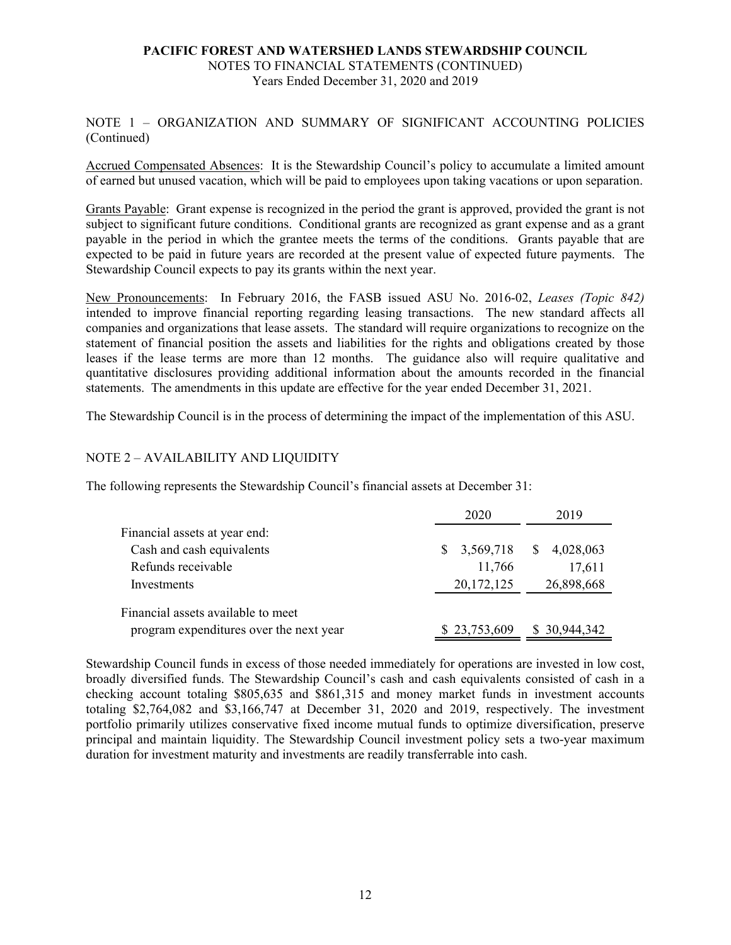NOTE 1 – ORGANIZATION AND SUMMARY OF SIGNIFICANT ACCOUNTING POLICIES (Continued)

Accrued Compensated Absences: It is the Stewardship Council's policy to accumulate a limited amount of earned but unused vacation, which will be paid to employees upon taking vacations or upon separation.

Grants Payable: Grant expense is recognized in the period the grant is approved, provided the grant is not subject to significant future conditions. Conditional grants are recognized as grant expense and as a grant payable in the period in which the grantee meets the terms of the conditions. Grants payable that are expected to be paid in future years are recorded at the present value of expected future payments. The Stewardship Council expects to pay its grants within the next year.

New Pronouncements: In February 2016, the FASB issued ASU No. 2016-02, *Leases (Topic 842)* intended to improve financial reporting regarding leasing transactions. The new standard affects all companies and organizations that lease assets. The standard will require organizations to recognize on the statement of financial position the assets and liabilities for the rights and obligations created by those leases if the lease terms are more than 12 months. The guidance also will require qualitative and quantitative disclosures providing additional information about the amounts recorded in the financial statements. The amendments in this update are effective for the year ended December 31, 2021.

The Stewardship Council is in the process of determining the impact of the implementation of this ASU.

#### NOTE 2 – AVAILABILITY AND LIQUIDITY

The following represents the Stewardship Council's financial assets at December 31:

|                                         | 2020            | 2019         |  |
|-----------------------------------------|-----------------|--------------|--|
| Financial assets at year end:           |                 |              |  |
| Cash and cash equivalents               | 3,569,718<br>S. | \$4,028,063  |  |
| Refunds receivable                      | 11,766          | 17,611       |  |
| Investments                             | 20,172,125      | 26,898,668   |  |
| Financial assets available to meet      |                 |              |  |
| program expenditures over the next year | \$23,753,609    | \$30,944,342 |  |

Stewardship Council funds in excess of those needed immediately for operations are invested in low cost, broadly diversified funds. The Stewardship Council's cash and cash equivalents consisted of cash in a checking account totaling \$805,635 and \$861,315 and money market funds in investment accounts totaling \$2,764,082 and \$3,166,747 at December 31, 2020 and 2019, respectively. The investment portfolio primarily utilizes conservative fixed income mutual funds to optimize diversification, preserve principal and maintain liquidity. The Stewardship Council investment policy sets a two-year maximum duration for investment maturity and investments are readily transferrable into cash.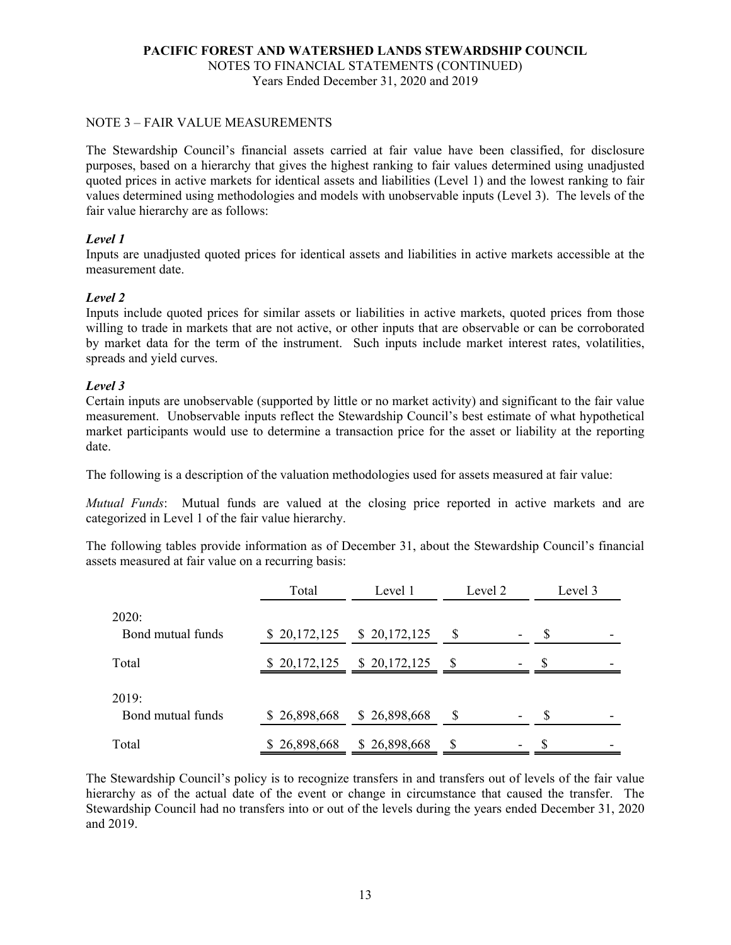#### NOTE 3 – FAIR VALUE MEASUREMENTS

The Stewardship Council's financial assets carried at fair value have been classified, for disclosure purposes, based on a hierarchy that gives the highest ranking to fair values determined using unadjusted quoted prices in active markets for identical assets and liabilities (Level 1) and the lowest ranking to fair values determined using methodologies and models with unobservable inputs (Level 3). The levels of the fair value hierarchy are as follows:

### *Level 1*

Inputs are unadjusted quoted prices for identical assets and liabilities in active markets accessible at the measurement date.

#### *Level 2*

Inputs include quoted prices for similar assets or liabilities in active markets, quoted prices from those willing to trade in markets that are not active, or other inputs that are observable or can be corroborated by market data for the term of the instrument. Such inputs include market interest rates, volatilities, spreads and yield curves.

#### *Level 3*

Certain inputs are unobservable (supported by little or no market activity) and significant to the fair value measurement. Unobservable inputs reflect the Stewardship Council's best estimate of what hypothetical market participants would use to determine a transaction price for the asset or liability at the reporting date.

The following is a description of the valuation methodologies used for assets measured at fair value:

*Mutual Funds*: Mutual funds are valued at the closing price reported in active markets and are categorized in Level 1 of the fair value hierarchy.

The following tables provide information as of December 31, about the Stewardship Council's financial assets measured at fair value on a recurring basis:

|                            | Total            | Level 1      | Level 2 | Level 3 |
|----------------------------|------------------|--------------|---------|---------|
| 2020:<br>Bond mutual funds | \$20,172,125     | \$20,172,125 | S       |         |
| Total                      | \$20,172,125     | \$20,172,125 | S<br>-  |         |
| 2019:<br>Bond mutual funds | \$26,898,668     | \$26,898,668 | S       | -S      |
| Total                      | 26,898,668<br>S. | \$26,898,668 |         |         |

The Stewardship Council's policy is to recognize transfers in and transfers out of levels of the fair value hierarchy as of the actual date of the event or change in circumstance that caused the transfer. The Stewardship Council had no transfers into or out of the levels during the years ended December 31, 2020 and 2019.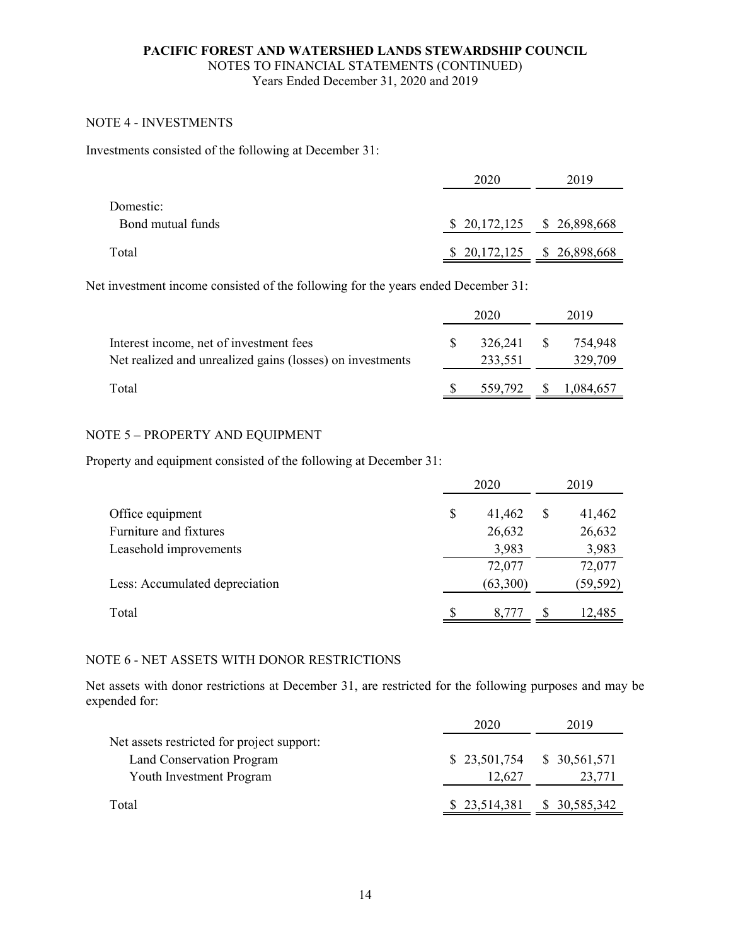# **PACIFIC FOREST AND WATERSHED LANDS STEWARDSHIP COUNCIL**  NOTES TO FINANCIAL STATEMENTS (CONTINUED)

Years Ended December 31, 2020 and 2019

### NOTE 4 - INVESTMENTS

Investments consisted of the following at December 31:

|                                | 2020                        | 2019 |
|--------------------------------|-----------------------------|------|
| Domestic:<br>Bond mutual funds | $$20,172,125$ $$26,898,668$ |      |
| Total                          | $$20,172,125$ $$26,898,668$ |      |

Net investment income consisted of the following for the years ended December 31:

|                                                                                                      | 2020 |                    | 2019 |                    |
|------------------------------------------------------------------------------------------------------|------|--------------------|------|--------------------|
| Interest income, net of investment fees<br>Net realized and unrealized gains (losses) on investments |      | 326.241<br>233,551 | - S  | 754.948<br>329,709 |
| Total                                                                                                |      | 559.792            |      | 1,084,657          |

## NOTE 5 – PROPERTY AND EQUIPMENT

Property and equipment consisted of the following at December 31:

|                                | 2020 |          | 2019 |           |
|--------------------------------|------|----------|------|-----------|
| Office equipment               | \$   | 41,462   | S    | 41,462    |
| Furniture and fixtures         |      | 26,632   |      | 26,632    |
| Leasehold improvements         |      | 3,983    |      | 3,983     |
|                                |      | 72,077   |      | 72,077    |
| Less: Accumulated depreciation |      | (63,300) |      | (59, 592) |
| Total                          |      | 8,777    |      | 12,485    |

## NOTE 6 - NET ASSETS WITH DONOR RESTRICTIONS

Net assets with donor restrictions at December 31, are restricted for the following purposes and may be expended for:

|                                            | 2020                        | 2019          |
|--------------------------------------------|-----------------------------|---------------|
| Net assets restricted for project support: |                             |               |
| <b>Land Conservation Program</b>           | $$23,501,754$ $$30,561,571$ |               |
| Youth Investment Program                   | 12.627                      | 23,771        |
| Total                                      | \$23,514,381                | \$ 30,585,342 |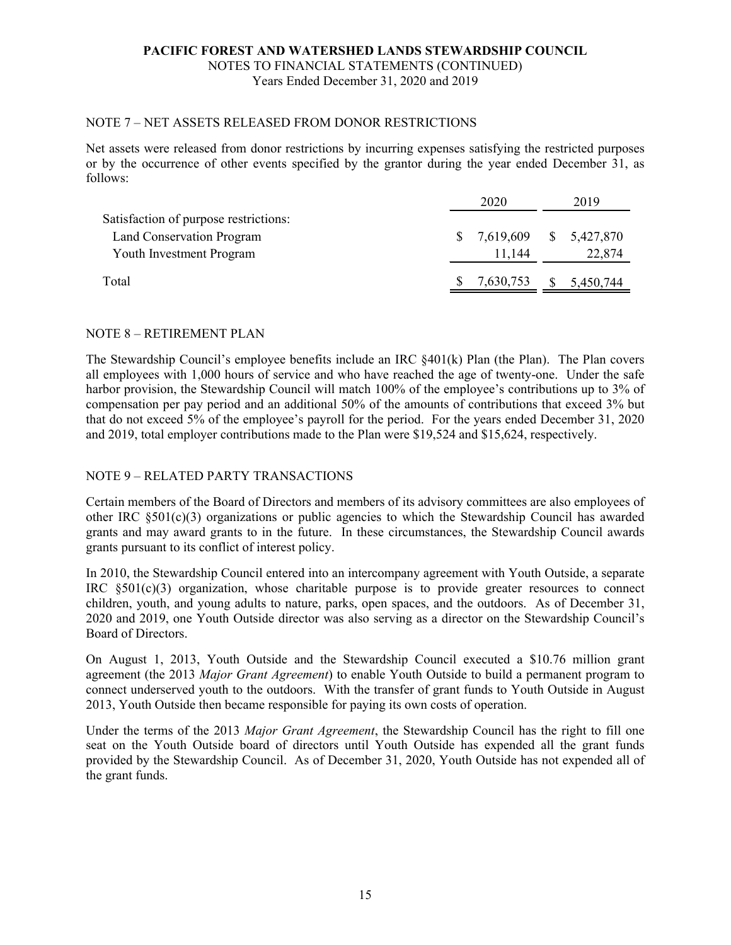NOTES TO FINANCIAL STATEMENTS (CONTINUED) Years Ended December 31, 2020 and 2019

#### NOTE 7 – NET ASSETS RELEASED FROM DONOR RESTRICTIONS

Net assets were released from donor restrictions by incurring expenses satisfying the restricted purposes or by the occurrence of other events specified by the grantor during the year ended December 31, as follows:

|                                       | 2020 |                           | 2019 |             |
|---------------------------------------|------|---------------------------|------|-------------|
| Satisfaction of purpose restrictions: |      |                           |      |             |
| <b>Land Conservation Program</b>      |      | $$7,619,609$ $$5,427,870$ |      |             |
| Youth Investment Program              |      | 11.144                    |      | 22,874      |
| Total                                 |      | 7,630,753                 |      | \$5,450,744 |

#### NOTE 8 – RETIREMENT PLAN

The Stewardship Council's employee benefits include an IRC §401(k) Plan (the Plan). The Plan covers all employees with 1,000 hours of service and who have reached the age of twenty-one. Under the safe harbor provision, the Stewardship Council will match 100% of the employee's contributions up to 3% of compensation per pay period and an additional 50% of the amounts of contributions that exceed 3% but that do not exceed 5% of the employee's payroll for the period. For the years ended December 31, 2020 and 2019, total employer contributions made to the Plan were \$19,524 and \$15,624, respectively.

### NOTE 9 – RELATED PARTY TRANSACTIONS

Certain members of the Board of Directors and members of its advisory committees are also employees of other IRC §501(c)(3) organizations or public agencies to which the Stewardship Council has awarded grants and may award grants to in the future. In these circumstances, the Stewardship Council awards grants pursuant to its conflict of interest policy.

In 2010, the Stewardship Council entered into an intercompany agreement with Youth Outside, a separate IRC §501(c)(3) organization, whose charitable purpose is to provide greater resources to connect children, youth, and young adults to nature, parks, open spaces, and the outdoors. As of December 31, 2020 and 2019, one Youth Outside director was also serving as a director on the Stewardship Council's Board of Directors.

On August 1, 2013, Youth Outside and the Stewardship Council executed a \$10.76 million grant agreement (the 2013 *Major Grant Agreement*) to enable Youth Outside to build a permanent program to connect underserved youth to the outdoors. With the transfer of grant funds to Youth Outside in August 2013, Youth Outside then became responsible for paying its own costs of operation.

Under the terms of the 2013 *Major Grant Agreement*, the Stewardship Council has the right to fill one seat on the Youth Outside board of directors until Youth Outside has expended all the grant funds provided by the Stewardship Council. As of December 31, 2020, Youth Outside has not expended all of the grant funds.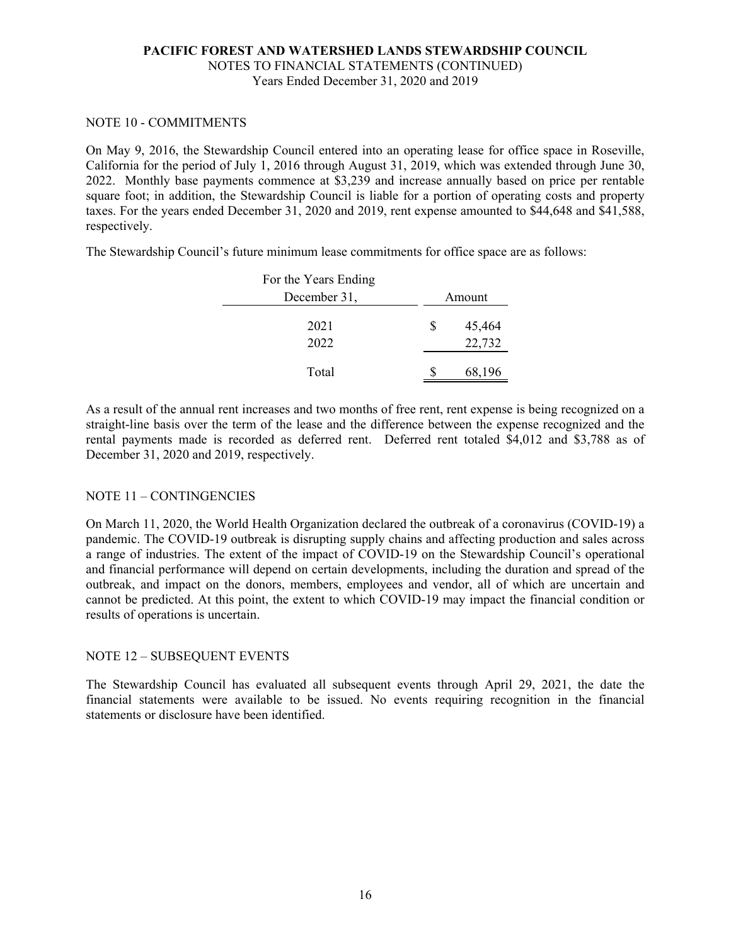#### NOTE 10 - COMMITMENTS

On May 9, 2016, the Stewardship Council entered into an operating lease for office space in Roseville, California for the period of July 1, 2016 through August 31, 2019, which was extended through June 30, 2022. Monthly base payments commence at \$3,239 and increase annually based on price per rentable square foot; in addition, the Stewardship Council is liable for a portion of operating costs and property taxes. For the years ended December 31, 2020 and 2019, rent expense amounted to \$44,648 and \$41,588, respectively.

The Stewardship Council's future minimum lease commitments for office space are as follows:

| For the Years Ending<br>December 31, |   | Amount |  |  |
|--------------------------------------|---|--------|--|--|
|                                      |   |        |  |  |
| 2021                                 | S | 45,464 |  |  |
| 2022                                 |   | 22,732 |  |  |
| Total                                |   | 68,196 |  |  |

As a result of the annual rent increases and two months of free rent, rent expense is being recognized on a straight-line basis over the term of the lease and the difference between the expense recognized and the rental payments made is recorded as deferred rent. Deferred rent totaled \$4,012 and \$3,788 as of December 31, 2020 and 2019, respectively.

#### NOTE 11 – CONTINGENCIES

On March 11, 2020, the World Health Organization declared the outbreak of a coronavirus (COVID-19) a pandemic. The COVID-19 outbreak is disrupting supply chains and affecting production and sales across a range of industries. The extent of the impact of COVID-19 on the Stewardship Council's operational and financial performance will depend on certain developments, including the duration and spread of the outbreak, and impact on the donors, members, employees and vendor, all of which are uncertain and cannot be predicted. At this point, the extent to which COVID-19 may impact the financial condition or results of operations is uncertain.

#### NOTE 12 – SUBSEQUENT EVENTS

The Stewardship Council has evaluated all subsequent events through April 29, 2021, the date the financial statements were available to be issued. No events requiring recognition in the financial statements or disclosure have been identified.